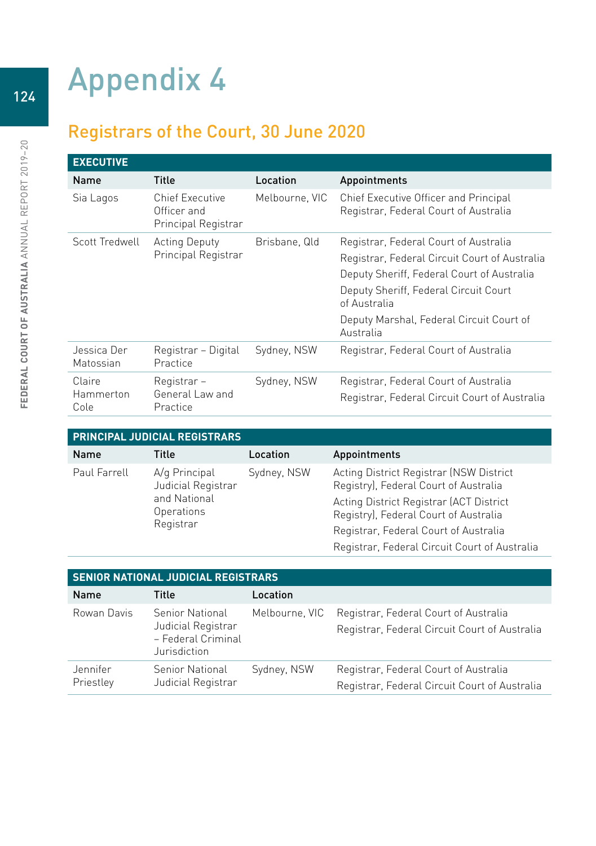## Appendix 4

## Registrars of the Court, 30 June 2020

| <b>EXECUTIVE</b>         |                                                              |                |                                                                                |
|--------------------------|--------------------------------------------------------------|----------------|--------------------------------------------------------------------------------|
| <b>Name</b>              | <b>Title</b>                                                 | Location       | Appointments                                                                   |
| Sia Lagos                | <b>Chief Executive</b><br>Officer and<br>Principal Registrar | Melbourne, VIC | Chief Executive Officer and Principal<br>Registrar, Federal Court of Australia |
| Scott Tredwell           | <b>Acting Deputy</b><br>Principal Registrar                  | Brisbane, Qld  | Registrar, Federal Court of Australia                                          |
|                          |                                                              |                | Registrar, Federal Circuit Court of Australia                                  |
|                          |                                                              |                | Deputy Sheriff, Federal Court of Australia                                     |
|                          |                                                              |                | Deputy Sheriff, Federal Circuit Court<br>of Australia                          |
|                          |                                                              |                | Deputy Marshal, Federal Circuit Court of<br>Australia                          |
| Jessica Der<br>Matossian | Registrar - Digital<br>Practice                              | Sydney, NSW    | Registrar, Federal Court of Australia                                          |
| Claire                   | Registrar –                                                  | Sydney, NSW    | Registrar, Federal Court of Australia                                          |
| Hammerton<br>Cole        | General Law and<br>Practice                                  |                | Registrar, Federal Circuit Court of Australia                                  |

| <b>PRINCIPAL JUDICIAL REGISTRARS</b> |                                                                                |             |                                                                                  |  |
|--------------------------------------|--------------------------------------------------------------------------------|-------------|----------------------------------------------------------------------------------|--|
| Name                                 | Title                                                                          | Location    | Appointments                                                                     |  |
| Paul Farrell                         | A/q Principal<br>Judicial Registrar<br>and National<br>Operations<br>Registrar | Sydney, NSW | Acting District Registrar (NSW District<br>Registry), Federal Court of Australia |  |
|                                      |                                                                                |             | Acting District Registrar (ACT District<br>Registry), Federal Court of Australia |  |
|                                      |                                                                                |             | Registrar, Federal Court of Australia                                            |  |
|                                      |                                                                                |             | Registrar, Federal Circuit Court of Australia                                    |  |

| <b>SENIOR NATIONAL JUDICIAL REGISTRARS</b> |                                                                                    |                |                                                                                        |
|--------------------------------------------|------------------------------------------------------------------------------------|----------------|----------------------------------------------------------------------------------------|
| <b>Name</b>                                | Title                                                                              | Location       |                                                                                        |
| Rowan Davis                                | <b>Senior National</b><br>Judicial Registrar<br>- Federal Criminal<br>Jurisdiction | Melbourne, VIC | Registrar, Federal Court of Australia<br>Registrar, Federal Circuit Court of Australia |
| Jennifer<br>Priestley                      | <b>Senior National</b><br>Judicial Registrar                                       | Sydney, NSW    | Registrar, Federal Court of Australia<br>Registrar, Federal Circuit Court of Australia |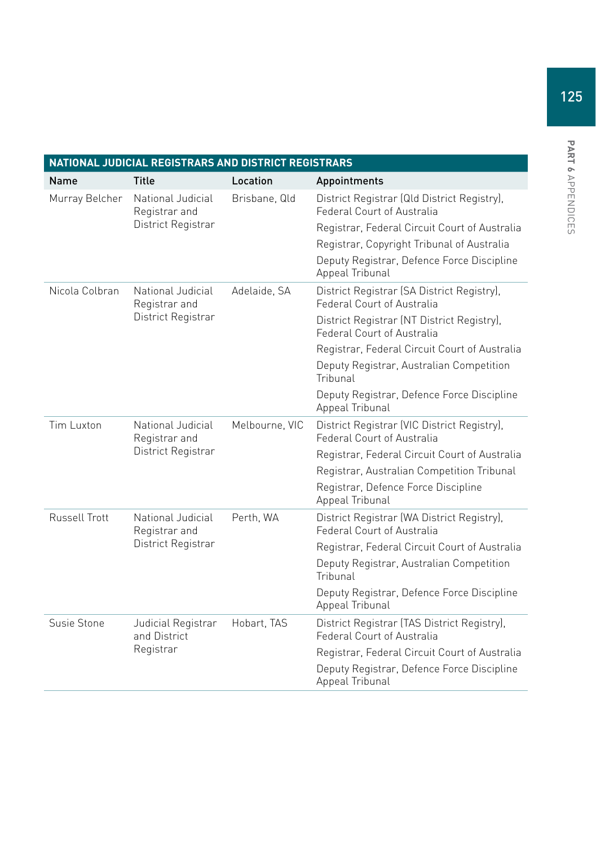| NATIONAL JUDICIAL REGISTRARS AND DISTRICT REGISTRARS |                                                          |                |                                                                           |
|------------------------------------------------------|----------------------------------------------------------|----------------|---------------------------------------------------------------------------|
| Name                                                 | Title                                                    | Location       | Appointments                                                              |
| Murray Belcher                                       | National Judicial<br>Registrar and                       | Brisbane, Qld  | District Registrar (Qld District Registry),<br>Federal Court of Australia |
|                                                      | District Registrar                                       |                | Registrar, Federal Circuit Court of Australia                             |
|                                                      |                                                          |                | Registrar, Copyright Tribunal of Australia                                |
|                                                      |                                                          |                | Deputy Registrar, Defence Force Discipline<br>Appeal Tribunal             |
| Nicola Colbran                                       | National Judicial<br>Registrar and                       | Adelaide, SA   | District Registrar (SA District Registry),<br>Federal Court of Australia  |
|                                                      | District Registrar                                       |                | District Registrar (NT District Registry),<br>Federal Court of Australia  |
|                                                      |                                                          |                | Registrar, Federal Circuit Court of Australia                             |
|                                                      |                                                          |                | Deputy Registrar, Australian Competition<br>Tribunal                      |
|                                                      |                                                          |                | Deputy Registrar, Defence Force Discipline<br>Appeal Tribunal             |
| Tim Luxton                                           | National Judicial<br>Registrar and<br>District Registrar | Melbourne, VIC | District Registrar (VIC District Registry),<br>Federal Court of Australia |
|                                                      |                                                          |                | Registrar, Federal Circuit Court of Australia                             |
|                                                      |                                                          |                | Registrar, Australian Competition Tribunal                                |
|                                                      |                                                          |                | Registrar, Defence Force Discipline<br>Appeal Tribunal                    |
| Russell Trott                                        | National Judicial<br>Registrar and<br>District Registrar | Perth, WA      | District Registrar (WA District Registry),<br>Federal Court of Australia  |
|                                                      |                                                          |                | Registrar, Federal Circuit Court of Australia                             |
|                                                      |                                                          |                | Deputy Registrar, Australian Competition<br>Tribunal                      |
|                                                      |                                                          |                | Deputy Registrar, Defence Force Discipline<br>Appeal Tribunal             |
| Susie Stone                                          | Judicial Registrar<br>and District<br>Registrar          | Hobart, TAS    | District Registrar (TAS District Registry),<br>Federal Court of Australia |
|                                                      |                                                          |                | Registrar, Federal Circuit Court of Australia                             |
|                                                      |                                                          |                | Deputy Registrar, Defence Force Discipline<br>Appeal Tribunal             |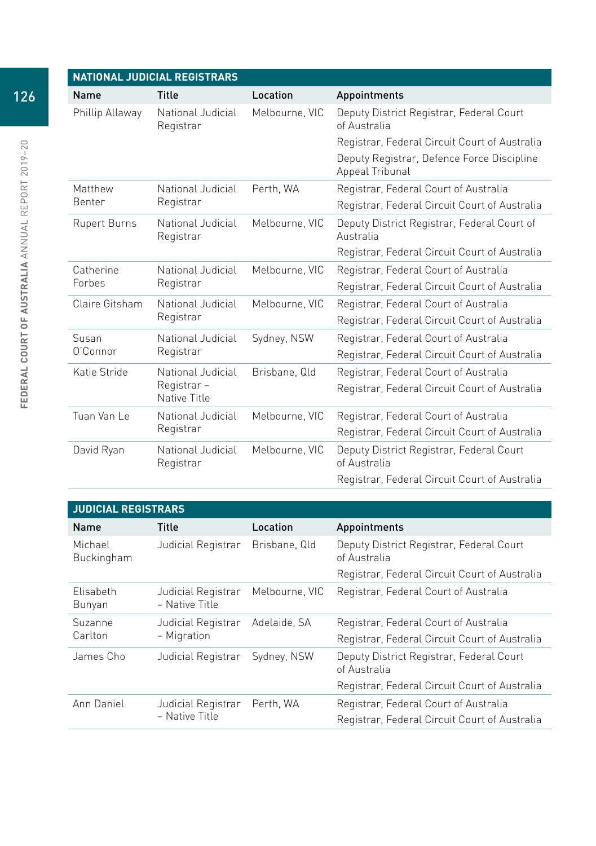| <b>NATIONAL JUDICIAL REGISTRARS</b> |                                                 |                |                                                               |  |
|-------------------------------------|-------------------------------------------------|----------------|---------------------------------------------------------------|--|
| Name                                | <b>Title</b>                                    | Location       | Appointments                                                  |  |
| Phillip Allaway                     | National Judicial<br>Registrar                  | Melbourne, VIC | Deputy District Registrar, Federal Court<br>of Australia      |  |
|                                     |                                                 |                | Registrar, Federal Circuit Court of Australia                 |  |
|                                     |                                                 |                | Deputy Registrar, Defence Force Discipline<br>Appeal Tribunal |  |
| Matthew                             | National Judicial                               | Perth, WA      | Registrar, Federal Court of Australia                         |  |
| Benter                              | Registrar                                       |                | Registrar, Federal Circuit Court of Australia                 |  |
| <b>Rupert Burns</b>                 | National Judicial<br>Registrar                  | Melbourne, VIC | Deputy District Registrar, Federal Court of<br>Australia      |  |
|                                     |                                                 |                | Registrar, Federal Circuit Court of Australia                 |  |
| Catherine                           | National Judicial<br>Registrar                  | Melbourne, VIC | Registrar, Federal Court of Australia                         |  |
| Forbes                              |                                                 |                | Registrar, Federal Circuit Court of Australia                 |  |
| Claire Gitsham                      | National Judicial<br>Registrar                  | Melbourne, VIC | Registrar, Federal Court of Australia                         |  |
|                                     |                                                 |                | Registrar, Federal Circuit Court of Australia                 |  |
| Susan                               | National Judicial                               | Sydney, NSW    | Registrar, Federal Court of Australia                         |  |
| O'Connor                            | Registrar                                       |                | Registrar, Federal Circuit Court of Australia                 |  |
| Katie Stride                        | National Judicial<br>Registrar-<br>Native Title | Brisbane, Qld  | Registrar, Federal Court of Australia                         |  |
|                                     |                                                 |                | Registrar, Federal Circuit Court of Australia                 |  |
| Tuan Van Le                         | National Judicial<br>Registrar                  | Melbourne, VIC | Registrar, Federal Court of Australia                         |  |
|                                     |                                                 |                | Registrar, Federal Circuit Court of Australia                 |  |
| David Ryan                          | National Judicial<br>Registrar                  | Melbourne, VIC | Deputy District Registrar, Federal Court<br>of Australia      |  |
|                                     |                                                 |                | Registrar, Federal Circuit Court of Australia                 |  |

| <b>JUDICIAL REGISTRARS</b> |                                      |                |                                                          |  |
|----------------------------|--------------------------------------|----------------|----------------------------------------------------------|--|
| Name                       | Title                                | Location       | Appointments                                             |  |
| Michael<br>Buckingham      | Judicial Registrar                   | Brisbane, Qld  | Deputy District Registrar, Federal Court<br>of Australia |  |
|                            |                                      |                | Registrar, Federal Circuit Court of Australia            |  |
| Elisabeth<br>Bunyan        | Judicial Registrar<br>- Native Title | Melbourne, VIC | Registrar, Federal Court of Australia                    |  |
| Suzanne<br>Carlton         | Judicial Registrar<br>- Migration    | Adelaide, SA   | Registrar, Federal Court of Australia                    |  |
|                            |                                      |                | Registrar, Federal Circuit Court of Australia            |  |
| James Cho                  | Judicial Registrar                   | Sydney, NSW    | Deputy District Registrar, Federal Court<br>of Australia |  |
|                            |                                      |                | Registrar, Federal Circuit Court of Australia            |  |
| Ann Daniel                 | Judicial Registrar<br>- Native Title | Perth, WA      | Registrar, Federal Court of Australia                    |  |
|                            |                                      |                | Registrar, Federal Circuit Court of Australia            |  |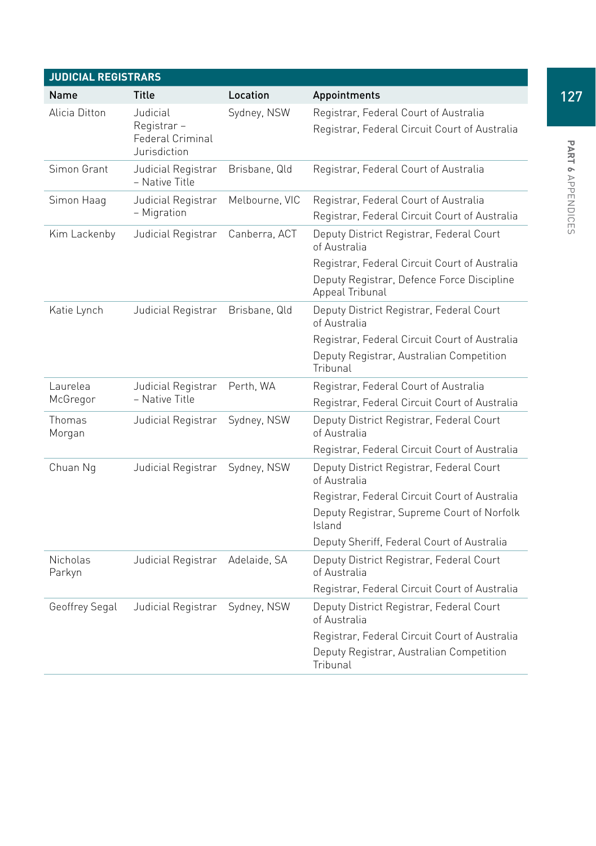| <b>JUDICIAL REGISTRARS</b> |                                                            |                |                                                                                        |
|----------------------------|------------------------------------------------------------|----------------|----------------------------------------------------------------------------------------|
| Name                       | Title                                                      | Location       | Appointments                                                                           |
| Alicia Ditton              | Judicial<br>Registrar-<br>Federal Criminal<br>Jurisdiction | Sydney, NSW    | Registrar, Federal Court of Australia<br>Registrar, Federal Circuit Court of Australia |
| Simon Grant                | Judicial Registrar<br>- Native Title                       | Brisbane, Qld  | Registrar, Federal Court of Australia                                                  |
| Simon Haag                 | Judicial Registrar<br>- Migration                          | Melbourne, VIC | Registrar, Federal Court of Australia<br>Registrar, Federal Circuit Court of Australia |
| Kim Lackenby               | Judicial Registrar                                         | Canberra, ACT  | Deputy District Registrar, Federal Court<br>of Australia                               |
|                            |                                                            |                | Registrar, Federal Circuit Court of Australia                                          |
|                            |                                                            |                | Deputy Registrar, Defence Force Discipline<br>Appeal Tribunal                          |
| Katie Lynch                | Judicial Registrar                                         | Brisbane, Qld  | Deputy District Registrar, Federal Court<br>of Australia                               |
|                            |                                                            |                | Registrar, Federal Circuit Court of Australia                                          |
|                            |                                                            |                | Deputy Registrar, Australian Competition<br>Tribunal                                   |
| Laurelea                   | Judicial Registrar                                         | Perth, WA      | Registrar, Federal Court of Australia                                                  |
| McGregor                   | - Native Title                                             |                | Registrar, Federal Circuit Court of Australia                                          |
| Thomas<br>Morgan           | Judicial Registrar                                         | Sydney, NSW    | Deputy District Registrar, Federal Court<br>of Australia                               |
|                            |                                                            |                | Registrar, Federal Circuit Court of Australia                                          |
| Chuan Ng                   | Judicial Registrar                                         | Sydney, NSW    | Deputy District Registrar, Federal Court<br>of Australia                               |
|                            |                                                            |                | Registrar, Federal Circuit Court of Australia                                          |
|                            |                                                            |                | Deputy Registrar, Supreme Court of Norfolk<br>Island                                   |
|                            |                                                            |                | Deputy Sheriff, Federal Court of Australia                                             |
| Nicholas<br>Parkyn         | Judicial Registrar                                         | Adelaide, SA   | Deputy District Registrar, Federal Court<br>of Australia                               |
|                            |                                                            |                | Registrar, Federal Circuit Court of Australia                                          |
| Geoffrey Segal             | Judicial Registrar                                         | Sydney, NSW    | Deputy District Registrar, Federal Court<br>of Australia                               |
|                            |                                                            |                | Registrar, Federal Circuit Court of Australia                                          |
|                            |                                                            |                | Deputy Registrar, Australian Competition<br>Tribunal                                   |

Appendices